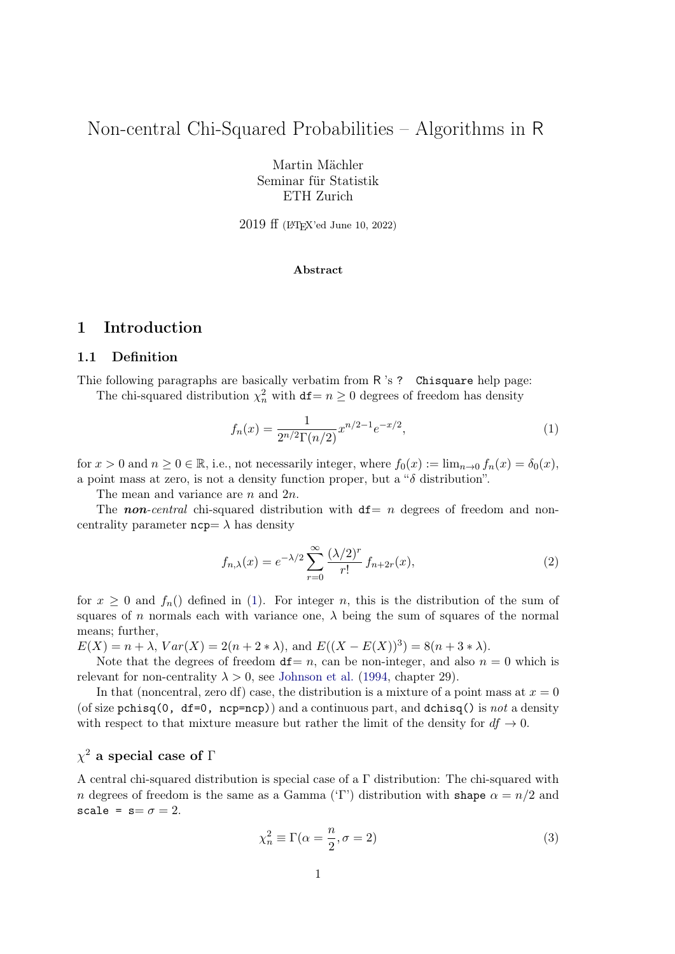## Non-central Chi-Squared Probabilities – Algorithms in R

Martin Mächler Seminar für Statistik ETH Zurich

2019 ff (L<sup>A</sup>TEX'ed June 10, 2022)

#### <span id="page-0-0"></span>Abstract

### 1 Introduction

#### 1.1 Definition

Thie following paragraphs are basically verbatim from R 's ? Chisquare help page:

The chi-squared distribution  $\chi_n^2$  with  $df = n \geq 0$  degrees of freedom has density

$$
f_n(x) = \frac{1}{2^{n/2} \Gamma(n/2)} x^{n/2 - 1} e^{-x/2},\tag{1}
$$

for  $x > 0$  and  $n \ge 0 \in \mathbb{R}$ , i.e., not necessarily integer, where  $f_0(x) := \lim_{n \to 0} f_n(x) = \delta_0(x)$ , a point mass at zero, is not a density function proper, but a " $\delta$  distribution".

The mean and variance are *n* and 2*n*.

The **non**-central chi-squared distribution with  $df = n$  degrees of freedom and noncentrality parameter  $ncp = \lambda$  has density

<span id="page-0-1"></span>
$$
f_{n,\lambda}(x) = e^{-\lambda/2} \sum_{r=0}^{\infty} \frac{(\lambda/2)^r}{r!} f_{n+2r}(x),\tag{2}
$$

for  $x \geq 0$  and  $f_n()$  defined in [\(1\)](#page-0-0). For integer n, this is the distribution of the sum of squares of n normals each with variance one,  $\lambda$  being the sum of squares of the normal means; further,

 $E(X) = n + \lambda$ ,  $Var(X) = 2(n + 2 * \lambda)$ , and  $E((X - E(X))^3) = 8(n + 3 * \lambda)$ .

Note that the degrees of freedom  $df = n$ , can be non-integer, and also  $n = 0$  which is relevant for non-centrality  $\lambda > 0$ , see [Johnson et al.](#page-3-0) [\(1994,](#page-3-0) chapter 29).

In that (noncentral, zero df) case, the distribution is a mixture of a point mass at  $x = 0$ (of size pchisq(0, df=0, ncp=ncp)) and a continuous part, and dchisq() is not a density with respect to that mixture measure but rather the limit of the density for  $df \rightarrow 0$ .

## $\chi^2$  a special case of  $\Gamma$

A central chi-squared distribution is special case of a Γ distribution: The chi-squared with n degrees of freedom is the same as a Gamma ('Γ') distribution with shape  $\alpha = n/2$  and scale =  $s = \sigma = 2$ .

$$
\chi_n^2 \equiv \Gamma(\alpha = \frac{n}{2}, \sigma = 2)
$$
\n(3)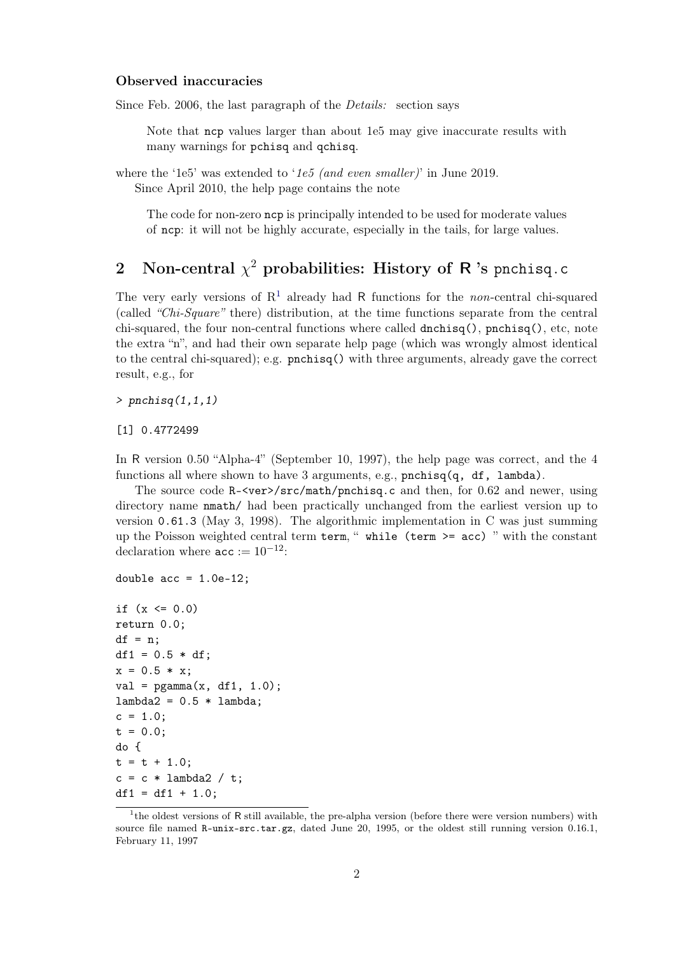#### Observed inaccuracies

Since Feb. 2006, the last paragraph of the *Details*: section says

Note that ncp values larger than about 1e5 may give inaccurate results with many warnings for pchisq and qchisq.

where the '1e5' was extended to '1e5 (and even smaller)' in June 2019. Since April 2010, the help page contains the note

The code for non-zero ncp is principally intended to be used for moderate values of ncp: it will not be highly accurate, especially in the tails, for large values.

# 2 Non-central  $\chi^2$  probabilities: History of R 's pnchisq.c

The very early versions of  $R<sup>1</sup>$  $R<sup>1</sup>$  $R<sup>1</sup>$  already had R functions for the non-central chi-squared (called "Chi-Square" there) distribution, at the time functions separate from the central chi-squared, the four non-central functions where called  $dnchisq()$ , pnchisq $()$ , etc, note the extra "n", and had their own separate help page (which was wrongly almost identical to the central chi-squared); e.g. pnchisq() with three arguments, already gave the correct result, e.g., for

 $>$  pnchisq(1,1,1)

[1] 0.4772499

In R version 0.50 "Alpha-4" (September 10, 1997), the help page was correct, and the 4 functions all where shown to have 3 arguments, e.g., pnchisq(q, df, lambda).

The source code  $R$ - $\text{ver}$  $\text{scr}/\text{src}/\text{math}/\text{pnchisq.c}$  and then, for 0.62 and newer, using directory name nmath/ had been practically unchanged from the earliest version up to version 0.61.3 (May 3, 1998). The algorithmic implementation in C was just summing up the Poisson weighted central term term, " while (term >= acc) " with the constant declaration where  $\texttt{acc} := 10^{-12}$ :

```
double acc = 1.0e-12;
```

```
if (x \le 0.0)return 0.0;
df = n:
df1 = 0.5 * df;x = 0.5 * x;val = pgamma(x, df1, 1.0);lambda2 = 0.5 * lambda;
c = 1.0;t = 0.0;
do {
t = t + 1.0;
c = c * lambda2 / t;
df1 = df1 + 1.0;
```
<span id="page-1-0"></span><sup>&</sup>lt;sup>1</sup>the oldest versions of R still available, the pre-alpha version (before there were version numbers) with source file named R-unix-src.tar.gz, dated June 20, 1995, or the oldest still running version 0.16.1, February 11, 1997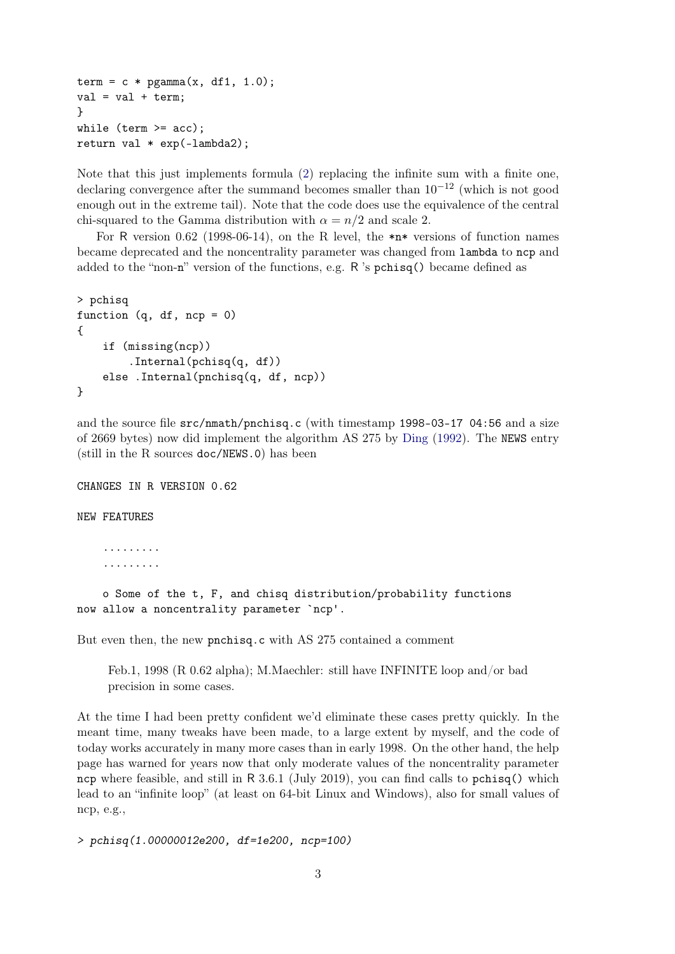```
term = c * pgamma(x, df1, 1.0);val = val + term;}
while (\text{term} >= acc);return val * exp(-lambda2);
```
Note that this just implements formula [\(2\)](#page-0-1) replacing the infinite sum with a finite one, declaring convergence after the summand becomes smaller than 10−<sup>12</sup> (which is not good enough out in the extreme tail). Note that the code does use the equivalence of the central chi-squared to the Gamma distribution with  $\alpha = n/2$  and scale 2.

For R version 0.62 (1998-06-14), on the R level, the \*n\* versions of function names became deprecated and the noncentrality parameter was changed from lambda to ncp and added to the "non-n" version of the functions, e.g. R 's pchisq() became defined as

```
> pchisq
function (q, df, ncp = 0){
    if (missing(ncp))
        .Internal(pchisq(q, df))
    else .Internal(pnchisq(q, df, ncp))
}
```
and the source file src/nmath/pnchisq.c (with timestamp 1998-03-17 04:56 and a size of 2669 bytes) now did implement the algorithm AS 275 by [Ding](#page-3-1) [\(1992\)](#page-3-1). The NEWS entry (still in the R sources doc/NEWS.0) has been

CHANGES IN R VERSION 0.62

NEW FEATURES

......... .........

o Some of the t, F, and chisq distribution/probability functions now allow a noncentrality parameter `ncp'.

But even then, the new pnchisq.c with AS 275 contained a comment

Feb.1, 1998 (R 0.62 alpha); M.Maechler: still have INFINITE loop and/or bad precision in some cases.

At the time I had been pretty confident we'd eliminate these cases pretty quickly. In the meant time, many tweaks have been made, to a large extent by myself, and the code of today works accurately in many more cases than in early 1998. On the other hand, the help page has warned for years now that only moderate values of the noncentrality parameter ncp where feasible, and still in R 3.6.1 (July 2019), you can find calls to pchisq() which lead to an "infinite loop" (at least on 64-bit Linux and Windows), also for small values of ncp, e.g.,

> pchisq(1.00000012e200, df=1e200, ncp=100)